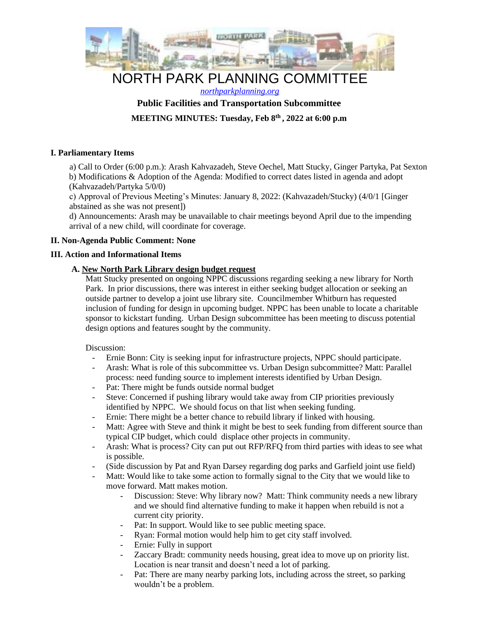

# NORTH PARK PLANNING COMMITTEE

## *northparkplanning.org* **Public Facilities and Transportation Subcommittee**

**MEETING MINUTES: Tuesday, Feb 8th , 2022 at 6:00 p.m** 

## **I. Parliamentary Items**

a) Call to Order (6:00 p.m.): Arash Kahvazadeh, Steve Oechel, Matt Stucky, Ginger Partyka, Pat Sexton b) Modifications & Adoption of the Agenda: Modified to correct dates listed in agenda and adopt (Kahvazadeh/Partyka 5/0/0)

c) Approval of Previous Meeting's Minutes: January 8, 2022: (Kahvazadeh/Stucky) (4/0/1 [Ginger abstained as she was not present])

d) Announcements: Arash may be unavailable to chair meetings beyond April due to the impending arrival of a new child, will coordinate for coverage.

### **II. Non-Agenda Public Comment: None**

### **III. Action and Informational Items**

### **A. New North Park Library design budget request**

Matt Stucky presented on ongoing NPPC discussions regarding seeking a new library for North Park. In prior discussions, there was interest in either seeking budget allocation or seeking an outside partner to develop a joint use library site. Councilmember Whitburn has requested inclusion of funding for design in upcoming budget. NPPC has been unable to locate a charitable sponsor to kickstart funding. Urban Design subcommittee has been meeting to discuss potential design options and features sought by the community.

### Discussion:

- Ernie Bonn: City is seeking input for infrastructure projects, NPPC should participate.
- Arash: What is role of this subcommittee vs. Urban Design subcommittee? Matt: Parallel process: need funding source to implement interests identified by Urban Design.
- Pat: There might be funds outside normal budget
- Steve: Concerned if pushing library would take away from CIP priorities previously identified by NPPC. We should focus on that list when seeking funding.
- Ernie: There might be a better chance to rebuild library if linked with housing.
- Matt: Agree with Steve and think it might be best to seek funding from different source than typical CIP budget, which could displace other projects in community.
- Arash: What is process? City can put out RFP/RFQ from third parties with ideas to see what is possible.
- (Side discussion by Pat and Ryan Darsey regarding dog parks and Garfield joint use field)
- Matt: Would like to take some action to formally signal to the City that we would like to move forward. Matt makes motion.
	- Discussion: Steve: Why library now? Matt: Think community needs a new library and we should find alternative funding to make it happen when rebuild is not a current city priority.
	- Pat: In support. Would like to see public meeting space.
	- Ryan: Formal motion would help him to get city staff involved.
	- Ernie: Fully in support
	- Zaccary Bradt: community needs housing, great idea to move up on priority list. Location is near transit and doesn't need a lot of parking.
	- Pat: There are many nearby parking lots, including across the street, so parking wouldn't be a problem.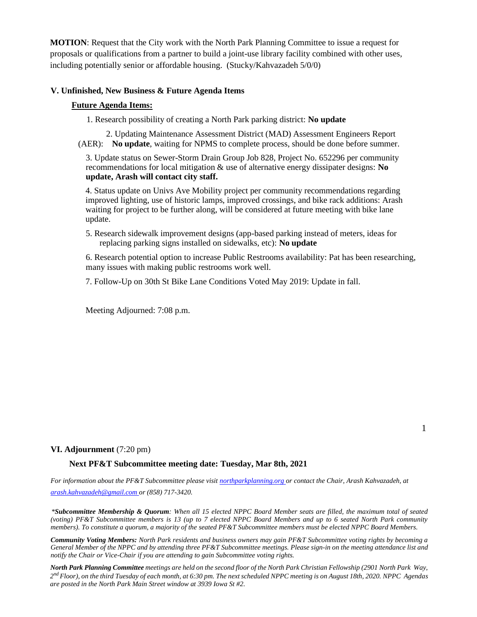**MOTION**: Request that the City work with the North Park Planning Committee to issue a request for proposals or qualifications from a partner to build a joint-use library facility combined with other uses, including potentially senior or affordable housing. (Stucky/Kahvazadeh 5/0/0)

#### **V. Unfinished, New Business & Future Agenda Items**

#### **Future Agenda Items:**

1. Research possibility of creating a North Park parking district: **No update** 

2. Updating Maintenance Assessment District (MAD) Assessment Engineers Report (AER): **No update**, waiting for NPMS to complete process, should be done before summer.

3. Update status on Sewer-Storm Drain Group Job 828, Project No. 652296 per community recommendations for local mitigation & use of alternative energy dissipater designs: **No update, Arash will contact city staff.** 

4. Status update on Univs Ave Mobility project per community recommendations regarding improved lighting, use of historic lamps, improved crossings, and bike rack additions: Arash waiting for project to be further along, will be considered at future meeting with bike lane update.

5. Research sidewalk improvement designs (app-based parking instead of meters, ideas for replacing parking signs installed on sidewalks, etc): **No update**

6. Research potential option to increase Public Restrooms availability: Pat has been researching, many issues with making public restrooms work well.

7. Follow-Up on 30th St Bike Lane Conditions Voted May 2019: Update in fall.

Meeting Adjourned: 7:08 p.m.

### **VI. Adjournment** (7:20 pm)

**Next PF&T Subcommittee meeting date: Tuesday, Mar 8th, 2021** 

*For information about the PF&T Subcommittee please visit northparkplanning.org or contact the Chair, Arash Kahvazadeh, at arash.kahvazadeh@gmail.com or (858) 717-3420.* 

*\*Subcommittee Membership & Quorum: When all 15 elected NPPC Board Member seats are filled, the maximum total of seated (voting) PF&T Subcommittee members is 13 (up to 7 elected NPPC Board Members and up to 6 seated North Park community members). To constitute a quorum, a majority of the seated PF&T Subcommittee members must be elected NPPC Board Members.* 

*Community Voting Members: North Park residents and business owners may gain PF&T Subcommittee voting rights by becoming a General Member of the NPPC and by attending three PF&T Subcommittee meetings. Please sign-in on the meeting attendance list and notify the Chair or Vice-Chair if you are attending to gain Subcommittee voting rights.* 

*North Park Planning Committee meetings are held on the second floor of the North Park Christian Fellowship (2901 North Park Way, 2 nd Floor), on the third Tuesday of each month, at 6:30 pm. The next scheduled NPPC meeting is on August 18th, 2020. NPPC Agendas are posted in the North Park Main Street window at 3939 Iowa St #2.*